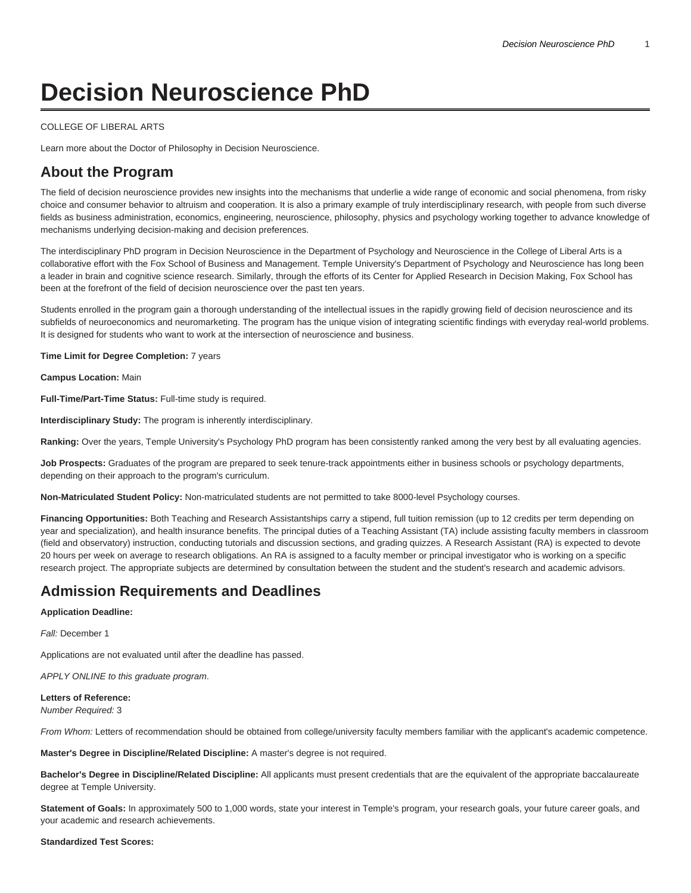# **Decision Neuroscience PhD**

#### [COLLEGE OF LIBERAL ARTS](https://liberalarts.temple.edu/)

[Learn more about the Doctor of Philosophy in Decision Neuroscience.](https://www.temple.edu/academics/degree-programs/decision-neuroscience-phd-la-dns-phd/)

# **About the Program**

The field of decision neuroscience provides new insights into the mechanisms that underlie a wide range of economic and social phenomena, from risky choice and consumer behavior to altruism and cooperation. It is also a primary example of truly interdisciplinary research, with people from such diverse fields as business administration, economics, engineering, neuroscience, philosophy, physics and psychology working together to advance knowledge of mechanisms underlying decision-making and decision preferences.

The interdisciplinary PhD program in Decision Neuroscience in the Department of Psychology and Neuroscience in the College of Liberal Arts is a collaborative effort with the Fox School of Business and Management. Temple University's Department of Psychology and Neuroscience has long been a leader in brain and cognitive science research. Similarly, through the efforts of its Center for Applied Research in Decision Making, Fox School has been at the forefront of the field of decision neuroscience over the past ten years.

Students enrolled in the program gain a thorough understanding of the intellectual issues in the rapidly growing field of decision neuroscience and its subfields of neuroeconomics and neuromarketing. The program has the unique vision of integrating scientific findings with everyday real-world problems. It is designed for students who want to work at the intersection of neuroscience and business.

**Time Limit for Degree Completion:** 7 years

**Campus Location:** Main

**Full-Time/Part-Time Status:** Full-time study is required.

**Interdisciplinary Study:** The program is inherently interdisciplinary.

**Ranking:** Over the years, Temple University's Psychology PhD program has been consistently ranked among the very best by all evaluating agencies.

**Job Prospects:** Graduates of the program are prepared to seek tenure-track appointments either in business schools or psychology departments, depending on their approach to the program's curriculum.

**Non-Matriculated Student Policy:** Non-matriculated students are not permitted to take 8000-level Psychology courses.

**Financing Opportunities:** Both Teaching and Research Assistantships carry a stipend, full tuition remission (up to 12 credits per term depending on year and specialization), and health insurance benefits. The principal duties of a Teaching Assistant (TA) include assisting faculty members in classroom (field and observatory) instruction, conducting tutorials and discussion sections, and grading quizzes. A Research Assistant (RA) is expected to devote 20 hours per week on average to research obligations. An RA is assigned to a faculty member or principal investigator who is working on a specific research project. The appropriate subjects are determined by consultation between the student and the student's research and academic advisors.

# **Admission Requirements and Deadlines**

#### **Application Deadline:**

Fall: December 1

Applications are not evaluated until after the deadline has passed.

APPLY ONLINE to this graduate program.

#### **Letters of Reference:**

Number Required: 3

From Whom: Letters of recommendation should be obtained from college/university faculty members familiar with the applicant's academic competence.

**Master's Degree in Discipline/Related Discipline:** A master's degree is not required.

**Bachelor's Degree in Discipline/Related Discipline:** All applicants must present credentials that are the equivalent of the appropriate baccalaureate degree at Temple University.

**Statement of Goals:** In approximately 500 to 1,000 words, state your interest in Temple's program, your research goals, your future career goals, and your academic and research achievements.

#### **Standardized Test Scores:**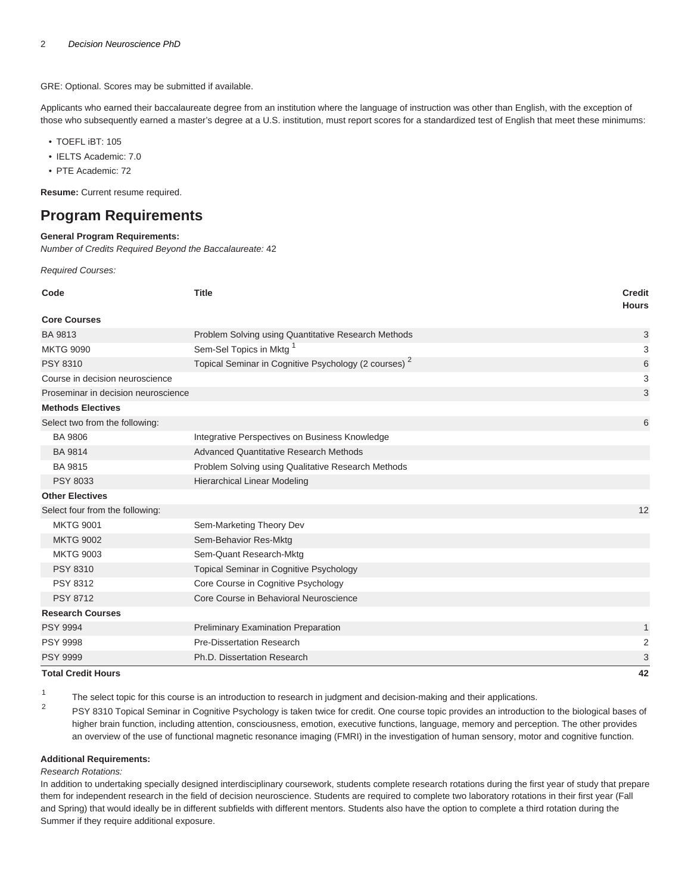GRE: Optional. Scores may be submitted if available.

Applicants who earned their baccalaureate degree from an institution where the language of instruction was other than English, with the exception of those who subsequently earned a master's degree at a U.S. institution, must report scores for a standardized test of English that meet these minimums:

- TOEFL iBT: 105
- IELTS Academic: 7.0
- PTE Academic: 72

**Resume:** Current resume required.

# **Program Requirements**

### **General Program Requirements:**

Number of Credits Required Beyond the Baccalaureate: 42

Required Courses:

| Code                                | <b>Title</b>                                                     | <b>Credit</b><br><b>Hours</b> |
|-------------------------------------|------------------------------------------------------------------|-------------------------------|
| <b>Core Courses</b>                 |                                                                  |                               |
| BA 9813                             | Problem Solving using Quantitative Research Methods              | $\mathbf{3}$                  |
| <b>MKTG 9090</b>                    | Sem-Sel Topics in Mktg <sup>1</sup>                              | 3                             |
| <b>PSY 8310</b>                     | Topical Seminar in Cognitive Psychology (2 courses) <sup>2</sup> | 6                             |
| Course in decision neuroscience     |                                                                  | 3                             |
| Proseminar in decision neuroscience |                                                                  | 3                             |
| <b>Methods Electives</b>            |                                                                  |                               |
| Select two from the following:      |                                                                  | 6                             |
| <b>BA 9806</b>                      | Integrative Perspectives on Business Knowledge                   |                               |
| <b>BA 9814</b>                      | <b>Advanced Quantitative Research Methods</b>                    |                               |
| <b>BA 9815</b>                      | Problem Solving using Qualitative Research Methods               |                               |
| <b>PSY 8033</b>                     | <b>Hierarchical Linear Modeling</b>                              |                               |
| <b>Other Electives</b>              |                                                                  |                               |
| Select four from the following:     |                                                                  | 12                            |
| <b>MKTG 9001</b>                    | Sem-Marketing Theory Dev                                         |                               |
| <b>MKTG 9002</b>                    | Sem-Behavior Res-Mktg                                            |                               |
| <b>MKTG 9003</b>                    | Sem-Quant Research-Mktg                                          |                               |
| <b>PSY 8310</b>                     | <b>Topical Seminar in Cognitive Psychology</b>                   |                               |
| <b>PSY 8312</b>                     | Core Course in Cognitive Psychology                              |                               |
| <b>PSY 8712</b>                     | Core Course in Behavioral Neuroscience                           |                               |
| <b>Research Courses</b>             |                                                                  |                               |
| <b>PSY 9994</b>                     | Preliminary Examination Preparation                              | 1                             |
| <b>PSY 9998</b>                     | <b>Pre-Dissertation Research</b>                                 | $\overline{2}$                |
| <b>PSY 9999</b>                     | Ph.D. Dissertation Research                                      | 3                             |
| <b>Total Credit Hours</b>           |                                                                  | 42                            |

1 The select topic for this course is an introduction to research in judgment and decision-making and their applications.

 $\overline{2}$ PSY 8310 Topical Seminar in Cognitive Psychology is taken twice for credit. One course topic provides an introduction to the biological bases of higher brain function, including attention, consciousness, emotion, executive functions, language, memory and perception. The other provides an overview of the use of functional magnetic resonance imaging (FMRI) in the investigation of human sensory, motor and cognitive function.

#### **Additional Requirements:**

#### Research Rotations:

In addition to undertaking specially designed interdisciplinary coursework, students complete research rotations during the first year of study that prepare them for independent research in the field of decision neuroscience. Students are required to complete two laboratory rotations in their first year (Fall and Spring) that would ideally be in different subfields with different mentors. Students also have the option to complete a third rotation during the Summer if they require additional exposure.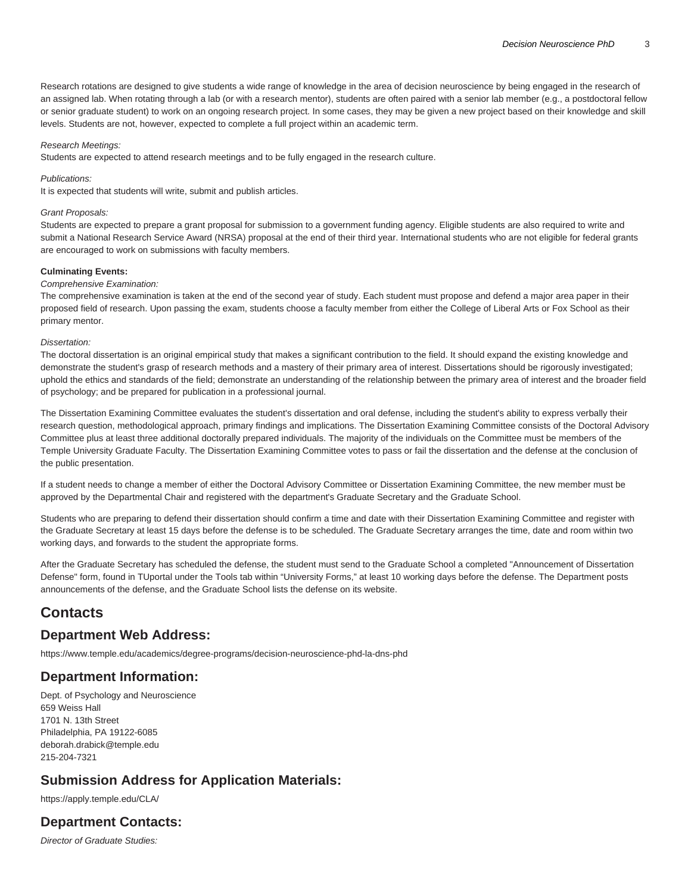Research rotations are designed to give students a wide range of knowledge in the area of decision neuroscience by being engaged in the research of an assigned lab. When rotating through a lab (or with a research mentor), students are often paired with a senior lab member (e.g., a postdoctoral fellow or senior graduate student) to work on an ongoing research project. In some cases, they may be given a new project based on their knowledge and skill levels. Students are not, however, expected to complete a full project within an academic term.

#### Research Meetings:

Students are expected to attend research meetings and to be fully engaged in the research culture.

#### Publications:

It is expected that students will write, submit and publish articles.

#### Grant Proposals:

Students are expected to prepare a grant proposal for submission to a government funding agency. Eligible students are also required to write and submit a National Research Service Award (NRSA) proposal at the end of their third year. International students who are not eligible for federal grants are encouraged to work on submissions with faculty members.

#### **Culminating Events:**

#### Comprehensive Examination:

The comprehensive examination is taken at the end of the second year of study. Each student must propose and defend a major area paper in their proposed field of research. Upon passing the exam, students choose a faculty member from either the College of Liberal Arts or Fox School as their primary mentor.

#### Dissertation:

The doctoral dissertation is an original empirical study that makes a significant contribution to the field. It should expand the existing knowledge and demonstrate the student's grasp of research methods and a mastery of their primary area of interest. Dissertations should be rigorously investigated; uphold the ethics and standards of the field; demonstrate an understanding of the relationship between the primary area of interest and the broader field of psychology; and be prepared for publication in a professional journal.

The Dissertation Examining Committee evaluates the student's dissertation and oral defense, including the student's ability to express verbally their research question, methodological approach, primary findings and implications. The Dissertation Examining Committee consists of the Doctoral Advisory Committee plus at least three additional doctorally prepared individuals. The majority of the individuals on the Committee must be members of the Temple University Graduate Faculty. The Dissertation Examining Committee votes to pass or fail the dissertation and the defense at the conclusion of the public presentation.

If a student needs to change a member of either the Doctoral Advisory Committee or Dissertation Examining Committee, the new member must be approved by the Departmental Chair and registered with the department's Graduate Secretary and the Graduate School.

Students who are preparing to defend their dissertation should confirm a time and date with their Dissertation Examining Committee and register with the Graduate Secretary at least 15 days before the defense is to be scheduled. The Graduate Secretary arranges the time, date and room within two working days, and forwards to the student the appropriate forms.

After the Graduate Secretary has scheduled the defense, the student must send to the Graduate School a completed "Announcement of Dissertation Defense" form, found in TUportal under the Tools tab within "University Forms," at least 10 working days before the defense. The Department posts announcements of the defense, and the Graduate School lists the defense on its website.

# **Contacts**

## **Department Web Address:**

[https://www.temple.edu/academics/degree-programs/decision-neuroscience-phd-la-dns-phd](https://www.temple.edu/academics/degree-programs/decision-neuroscience-phd-la-dns-phd/)

# **Department Information:**

Dept. of Psychology and Neuroscience 659 Weiss Hall 1701 N. 13th Street Philadelphia, PA 19122-6085 [deborah.drabick@temple.edu](mailto:deborah.drabick@temple.edu) 215-204-7321

# **Submission Address for Application Materials:**

<https://apply.temple.edu/CLA/>

# **Department Contacts:**

Director of Graduate Studies: